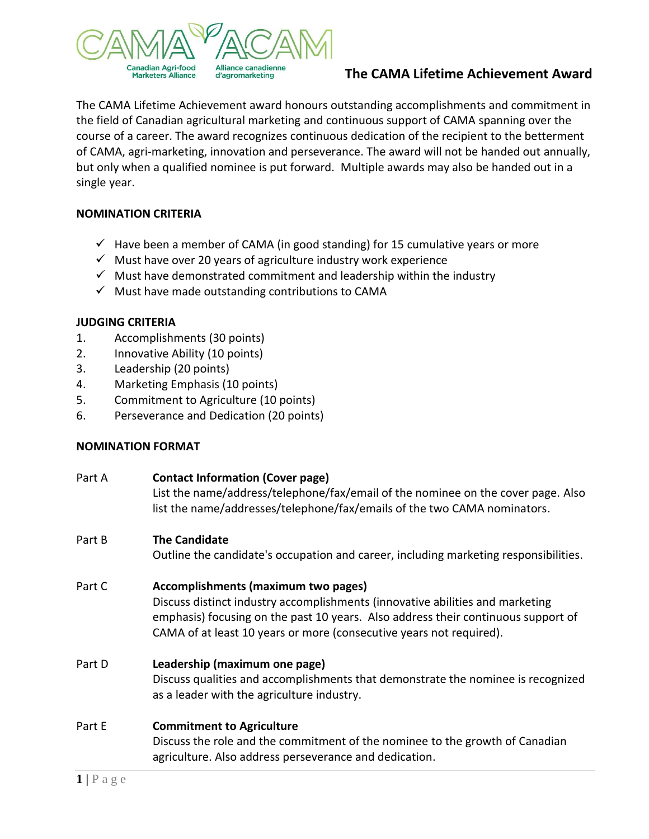

# **The CAMA Lifetime Achievement Award**

The CAMA Lifetime Achievement award honours outstanding accomplishments and commitment in the field of Canadian agricultural marketing and continuous support of CAMA spanning over the course of a career. The award recognizes continuous dedication of the recipient to the betterment of CAMA, agri-marketing, innovation and perseverance. The award will not be handed out annually, but only when a qualified nominee is put forward. Multiple awards may also be handed out in a single year.

### **NOMINATION CRITERIA**

- $\checkmark$  Have been a member of CAMA (in good standing) for 15 cumulative years or more
- $\checkmark$  Must have over 20 years of agriculture industry work experience
- $\checkmark$  Must have demonstrated commitment and leadership within the industry
- $\checkmark$  Must have made outstanding contributions to CAMA

#### **JUDGING CRITERIA**

- 1. Accomplishments (30 points)
- 2. Innovative Ability (10 points)
- 3. Leadership (20 points)
- 4. Marketing Emphasis (10 points)
- 5. Commitment to Agriculture (10 points)
- 6. Perseverance and Dedication (20 points)

### **NOMINATION FORMAT**

| Part A | <b>Contact Information (Cover page)</b><br>List the name/address/telephone/fax/email of the nominee on the cover page. Also<br>list the name/addresses/telephone/fax/emails of the two CAMA nominators.                                                                          |
|--------|----------------------------------------------------------------------------------------------------------------------------------------------------------------------------------------------------------------------------------------------------------------------------------|
| Part B | <b>The Candidate</b><br>Outline the candidate's occupation and career, including marketing responsibilities.                                                                                                                                                                     |
| Part C | Accomplishments (maximum two pages)<br>Discuss distinct industry accomplishments (innovative abilities and marketing<br>emphasis) focusing on the past 10 years. Also address their continuous support of<br>CAMA of at least 10 years or more (consecutive years not required). |
| Part D | Leadership (maximum one page)<br>Discuss qualities and accomplishments that demonstrate the nominee is recognized<br>as a leader with the agriculture industry.                                                                                                                  |
| Part E | <b>Commitment to Agriculture</b><br>Discuss the role and the commitment of the nominee to the growth of Canadian<br>agriculture. Also address perseverance and dedication.                                                                                                       |